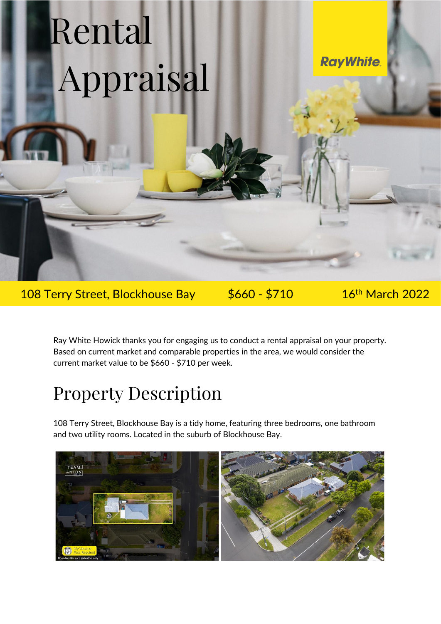## Rental Appraisal

**RayWhite** 

108 Terry Street, Blockhouse Bay \$660 - \$710

16<sup>th</sup> March 2022

Ray White Howick thanks you for engaging us to conduct a rental appraisal on your property. Based on current market and comparable properties in the area, we would consider the current market value to be \$660 - \$710 per week.

## Property Description

108 Terry Street, Blockhouse Bay is a tidy home, featuring three bedrooms, one bathroom and two utility rooms. Located in the suburb of Blockhouse Bay.